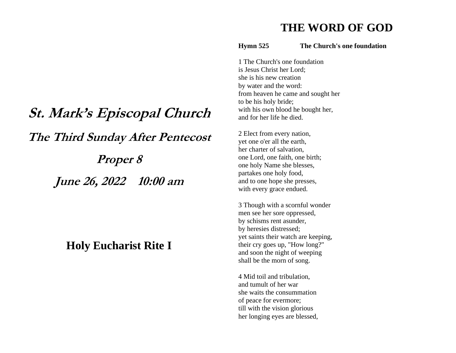# **THE WORD OF GOD**

#### **Hymn 525 The Church's one foundation**

1 The Church's one foundation is Jesus Christ her Lord; she is his new creation by water and the word: from heaven he came and sought her to be his holy bride; with his own blood he bought her, and for her life he died.

2 Elect from every nation, yet one o'er all the earth, her charter of salvation, one Lord, one faith, one birth; one holy Name she blesses, partakes one holy food, and to one hope she presses, with every grace endued.

3 Though with a scornful wonder men see her sore oppressed, by schisms rent asunder, by heresies distressed; yet saints their watch are keeping, their cry goes up, "How long?" and soon the night of weeping shall be the morn of song.

4 Mid toil and tribulation, and tumult of her war she waits the consummation of peace for evermore; till with the vision glorious her longing eyes are blessed,

# **St. Mark's Episcopal Church The Third Sunday After Pentecost Proper 8**

**June 26, 2022 10:00 am**

# **Holy Eucharist Rite I**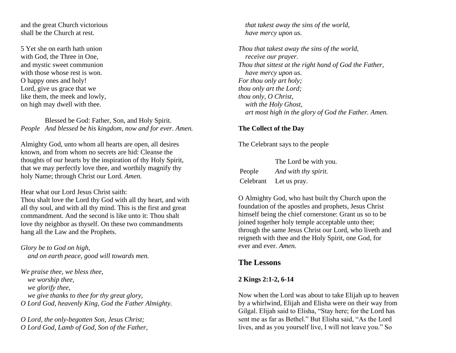and the great Church victorious shall be the Church at rest.

5 Yet she on earth hath union with God, the Three in One, and mystic sweet communion with those whose rest is won. O happy ones and holy! Lord, give us grace that we like them, the meek and lowly, on high may dwell with thee.

 Blessed be God: Father, Son, and Holy Spirit. *People And blessed be his kingdom, now and for ever. Amen.*

Almighty God, unto whom all hearts are open, all desires known, and from whom no secrets are hid: Cleanse the thoughts of our hearts by the inspiration of thy Holy Spirit, that we may perfectly love thee, and worthily magnify thy holy Name; through Christ our Lord. *Amen.*

Hear what our Lord Jesus Christ saith:

Thou shalt love the Lord thy God with all thy heart, and with all thy soul, and with all thy mind. This is the first and great commandment. And the second is like unto it: Thou shalt love thy neighbor as thyself. On these two commandments hang all the Law and the Prophets.

*Glory be to God on high, and on earth peace, good will towards men.*

*We praise thee, we bless thee, we worship thee, we glorify thee, we give thanks to thee for thy great glory, O Lord God, heavenly King, God the Father Almighty.*

*O Lord, the only-begotten Son, Jesus Christ; O Lord God, Lamb of God, Son of the Father,*  *that takest away the sins of the world, have mercy upon us.*

*Thou that takest away the sins of the world, receive our prayer. Thou that sittest at the right hand of God the Father, have mercy upon us. For thou only art holy; thou only art the Lord; thou only, O Christ, with the Holy Ghost, art most high in the glory of God the Father. Amen.*

#### **The Collect of the Day**

The Celebrant says to the people

|        | The Lord be with you.  |
|--------|------------------------|
| People | And with thy spirit.   |
|        | Celebrant Let us pray. |

O Almighty God, who hast built thy Church upon the foundation of the apostles and prophets, Jesus Christ himself being the chief cornerstone: Grant us so to be joined together holy temple acceptable unto thee; through the same Jesus Christ our Lord, who liveth and reigneth with thee and the Holy Spirit, one God, for ever and ever. *Amen.*

#### **The Lessons**

#### **2 Kings 2:1-2, 6-14**

Now when the Lord was about to take Elijah up to heaven by a whirlwind, Elijah and Elisha were on their way from Gilgal. Elijah said to Elisha, "Stay here; for the Lord has sent me as far as Bethel." But Elisha said, "As the Lord lives, and as you yourself live, I will not leave you." So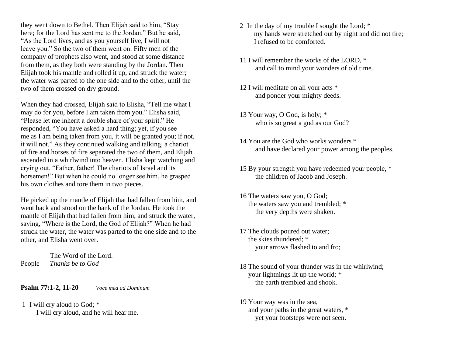they went down to Bethel. Then Elijah said to him, "Stay here; for the Lord has sent me to the Jordan." But he said, "As the Lord lives, and as you yourself live, I will not leave you." So the two of them went on. Fifty men of the company of prophets also went, and stood at some distance from them, as they both were standing by the Jordan. Then Elijah took his mantle and rolled it up, and struck the water; the water was parted to the one side and to the other, until the two of them crossed on dry ground.

When they had crossed, Elijah said to Elisha, "Tell me what I may do for you, before I am taken from you." Elisha said, "Please let me inherit a double share of your spirit." He responded, "You have asked a hard thing; yet, if you see me as I am being taken from you, it will be granted you; if not, it will not." As they continued walking and talking, a chariot of fire and horses of fire separated the two of them, and Elijah ascended in a whirlwind into heaven. Elisha kept watching and crying out, "Father, father! The chariots of Israel and its horsemen!" But when he could no longer see him, he grasped his own clothes and tore them in two pieces.

He picked up the mantle of Elijah that had fallen from him, and went back and stood on the bank of the Jordan. He took the mantle of Elijah that had fallen from him, and struck the water, saying, "Where is the Lord, the God of Elijah?" When he had struck the water, the water was parted to the one side and to the other, and Elisha went over.

 The Word of the Lord. People *Thanks be to God*

**Psalm 77:1-2, 11-20** *Voce mea ad Dominum*

1 I will cry aloud to God; \* I will cry aloud, and he will hear me.

- 2 In the day of my trouble I sought the Lord; \* my hands were stretched out by night and did not tire; I refused to be comforted.
- 11 I will remember the works of the LORD, \* and call to mind your wonders of old time.
- 12 I will meditate on all your acts \* and ponder your mighty deeds.
- 13 Your way, O God, is holy; \* who is so great a god as our God?
- 14 You are the God who works wonders \* and have declared your power among the peoples.
- 15 By your strength you have redeemed your people, \* the children of Jacob and Joseph.
- 16 The waters saw you, O God; the waters saw you and trembled; \* the very depths were shaken.
- 17 The clouds poured out water; the skies thundered; \* your arrows flashed to and fro;
- 18 The sound of your thunder was in the whirlwind; your lightnings lit up the world; \* the earth trembled and shook.

19 Your way was in the sea, and your paths in the great waters, \* yet your footsteps were not seen.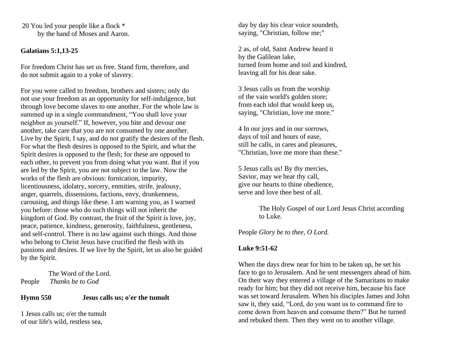20 You led your people like a flock \* by the hand of Moses and Aaron.

#### **Galatians 5:1,13-25**

For freedom Christ has set us free. Stand firm, therefore, and do not submit again to a yoke of slavery.

For you were called to freedom, brothers and sisters; only do not use your freedom as an opportunity for self-indulgence, but through love become slaves to one another. For the whole law is summed up in a single commandment, "You shall love your neighbor as yourself." If, however, you bite and devour one another, take care that you are not consumed by one another. Live by the Spirit, I say, and do not gratify the desires of the flesh. For what the flesh desires is opposed to the Spirit, and what the Spirit desires is opposed to the flesh; for these are opposed to each other, to prevent you from doing what you want. But if you are led by the Spirit, you are not subject to the law. Now the works of the flesh are obvious: fornication, impurity, licentiousness, idolatry, sorcery, enmities, strife, jealousy, anger, quarrels, dissensions, factions, envy, drunkenness, carousing, and things like these. I am warning you, as I warned you before: those who do such things will not inherit the kingdom of God. By contrast, the fruit of the Spirit is love, joy, peace, patience, kindness, generosity, faithfulness, gentleness, and self-control. There is no law against such things. And those who belong to Christ Jesus have crucified the flesh with its passions and desires. If we live by the Spirit, let us also be guided by the Spirit.

 The Word of the Lord. People *Thanks be to God*

#### **Hymn 550 Jesus calls us; o'er the tumult**

1 Jesus calls us; o'er the tumult of our life's wild, restless sea,

day by day his clear voice soundeth, saying, "Christian, follow me;"

2 as, of old, Saint Andrew heard it by the Galilean lake, turned from home and toil and kindred, leaving all for his dear sake.

3 Jesus calls us from the worship of the vain world's golden store; from each idol that would keep us, saying, "Christian, love me more."

4 In our joys and in our sorrows, days of toil and hours of ease, still he calls, in cares and pleasures, "Christian, love me more than these."

5 Jesus calls us! By thy mercies, Savior, may we hear thy call, give our hearts to thine obedience, serve and love thee best of all.

> The Holy Gospel of our Lord Jesus Christ according to Luke.

People *Glory be to thee, O Lord.*

#### **Luke 9:51-62**

When the days drew near for him to be taken up, he set his face to go to Jerusalem. And he sent messengers ahead of him. On their way they entered a village of the Samaritans to make ready for him; but they did not receive him, because his face was set toward Jerusalem. When his disciples James and John saw it, they said, "Lord, do you want us to command fire to come down from heaven and consume them?" But he turned and rebuked them. Then they went on to another village.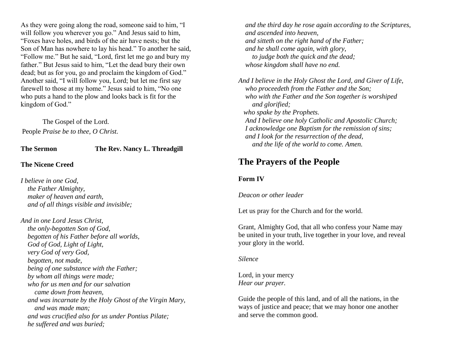As they were going along the road, someone said to him, "I will follow you wherever you go." And Jesus said to him, "Foxes have holes, and birds of the air have nests; but the Son of Man has nowhere to lay his head." To another he said, "Follow me." But he said, "Lord, first let me go and bury my father." But Jesus said to him, "Let the dead bury their own dead; but as for you, go and proclaim the kingdom of God." Another said, "I will follow you, Lord; but let me first say farewell to those at my home." Jesus said to him, "No one who puts a hand to the plow and looks back is fit for the kingdom of God."

The Gospel of the Lord. People *Praise be to thee, O Christ.*

#### **The Sermon The Rev. Nancy L. Threadgill**

#### **The Nicene Creed**

*I believe in one God, the Father Almighty, maker of heaven and earth, and of all things visible and invisible;*

*And in one Lord Jesus Christ, the only-begotten Son of God, begotten of his Father before all worlds, God of God, Light of Light, very God of very God, begotten, not made, being of one substance with the Father; by whom all things were made; who for us men and for our salvation came down from heaven, and was incarnate by the Holy Ghost of the Virgin Mary, and was made man; and was crucified also for us under Pontius Pilate; he suffered and was buried;*

 *and the third day he rose again according to the Scriptures, and ascended into heaven, and sitteth on the right hand of the Father; and he shall come again, with glory, to judge both the quick and the dead; whose kingdom shall have no end.*

*And I believe in the Holy Ghost the Lord, and Giver of Life, who proceedeth from the Father and the Son; who with the Father and the Son together is worshiped and glorified; who spake by the Prophets. And I believe one holy Catholic and Apostolic Church; I acknowledge one Baptism for the remission of sins; and I look for the resurrection of the dead, and the life of the world to come. Amen.*

# **The Prayers of the People**

#### **Form IV**

#### *Deacon or other leader*

Let us pray for the Church and for the world.

Grant, Almighty God, that all who confess your Name may be united in your truth, live together in your love, and reveal your glory in the world.

#### *Silence*

Lord, in your mercy *Hear our prayer.*

Guide the people of this land, and of all the nations, in the ways of justice and peace; that we may honor one another and serve the common good.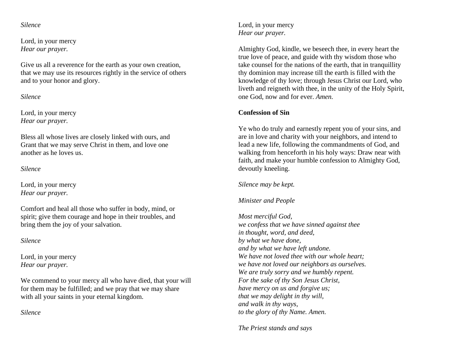#### *Silence*

Lord, in your mercy *Hear our prayer.*

Give us all a reverence for the earth as your own creation, that we may use its resources rightly in the service of others and to your honor and glory.

#### *Silence*

Lord, in your mercy *Hear our prayer.*

Bless all whose lives are closely linked with ours, and Grant that we may serve Christ in them, and love one another as he loves us.

#### *Silence*

Lord, in your mercy *Hear our prayer.*

Comfort and heal all those who suffer in body, mind, or spirit; give them courage and hope in their troubles, and bring them the joy of your salvation.

#### *Silence*

Lord, in your mercy *Hear our prayer.*

We commend to your mercy all who have died, that your will for them may be fulfilled; and we pray that we may share with all your saints in your eternal kingdom.

*Silence*

Lord, in your mercy *Hear our prayer.*

Almighty God, kindle, we beseech thee, in every heart the true love of peace, and guide with thy wisdom those who take counsel for the nations of the earth, that in tranquillity thy dominion may increase till the earth is filled with the knowledge of thy love; through Jesus Christ our Lord, who liveth and reigneth with thee, in the unity of the Holy Spirit, one God, now and for ever. *Amen.*

#### **Confession of Sin**

Ye who do truly and earnestly repent you of your sins, and are in love and charity with your neighbors, and intend to lead a new life, following the commandments of God, and walking from henceforth in his holy ways: Draw near with faith, and make your humble confession to Almighty God, devoutly kneeling.

*Silence may be kept.*

#### *Minister and People*

*Most merciful God, we confess that we have sinned against thee in thought, word, and deed, by what we have done, and by what we have left undone. We have not loved thee with our whole heart; we have not loved our neighbors as ourselves. We are truly sorry and we humbly repent. For the sake of thy Son Jesus Christ, have mercy on us and forgive us; that we may delight in thy will, and walk in thy ways, to the glory of thy Name. Amen.*

*The Priest stands and says*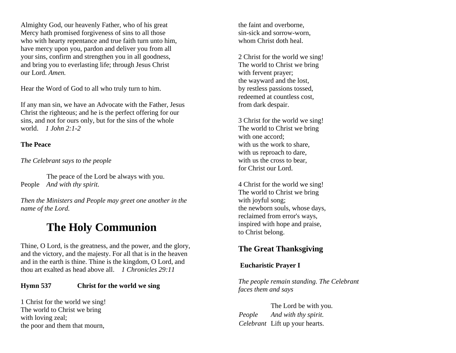Almighty God, our heavenly Father, who of his great Mercy hath promised forgiveness of sins to all those who with hearty repentance and true faith turn unto him, have mercy upon you, pardon and deliver you from all your sins, confirm and strengthen you in all goodness, and bring you to everlasting life; through Jesus Christ our Lord. *Amen.*

Hear the Word of God to all who truly turn to him.

If any man sin, we have an Advocate with the Father, Jesus Christ the righteous; and he is the perfect offering for our sins, and not for ours only, but for the sins of the whole world. *1 John 2:1-2*

#### **The Peace**

*The Celebrant says to the people*

 The peace of the Lord be always with you. People *And with thy spirit.*

*Then the Ministers and People may greet one another in the name of the Lord.*

# **The Holy Communion**

Thine, O Lord, is the greatness, and the power, and the glory, and the victory, and the majesty. For all that is in the heaven and in the earth is thine. Thine is the kingdom, O Lord, and thou art exalted as head above all. *1 Chronicles 29:11*

### **Hymn 537 Christ for the world we sing**

1 Christ for the world we sing! The world to Christ we bring with loving zeal; the poor and them that mourn,

the faint and overborne, sin-sick and sorrow-worn, whom Christ doth heal.

2 Christ for the world we sing! The world to Christ we bring with fervent prayer; the wayward and the lost, by restless passions tossed, redeemed at countless cost, from dark despair.

3 Christ for the world we sing! The world to Christ we bring with one accord; with us the work to share. with us reproach to dare, with us the cross to bear, for Christ our Lord.

4 Christ for the world we sing! The world to Christ we bring with joyful song; the newborn souls, whose days, reclaimed from error's ways, inspired with hope and praise, to Christ belong.

# **The Great Thanksgiving**

### **Eucharistic Prayer I**

*The people remain standing. The Celebrant faces them and says*

 The Lord be with you. *People And with thy spirit. Celebrant* Lift up your hearts.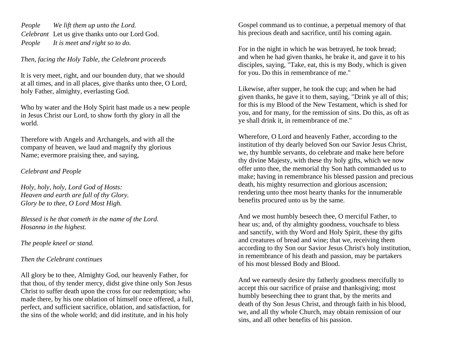*People We lift them up unto the Lord. Celebrant* Let us give thanks unto our Lord God. *People It is meet and right so to do.*

*Then, facing the Holy Table, the Celebrant proceeds*

It is very meet, right, and our bounden duty, that we should at all times, and in all places, give thanks unto thee, O Lord, holy Father, almighty, everlasting God.

Who by water and the Holy Spirit hast made us a new people in Jesus Christ our Lord, to show forth thy glory in all the world.

Therefore with Angels and Archangels, and with all the company of heaven, we laud and magnify thy glorious Name; evermore praising thee, and saying,

#### *Celebrant and People*

*Holy, holy, holy, Lord God of Hosts: Heaven and earth are full of thy Glory. Glory be to thee, O Lord Most High.*

*Blessed is he that cometh in the name of the Lord. Hosanna in the highest.*

*The people kneel or stand.*

#### *Then the Celebrant continues*

All glory be to thee, Almighty God, our heavenly Father, for that thou, of thy tender mercy, didst give thine only Son Jesus Christ to suffer death upon the cross for our redemption; who made there, by his one oblation of himself once offered, a full, perfect, and sufficient sacrifice, oblation, and satisfaction, for the sins of the whole world; and did institute, and in his holy

Gospel command us to continue, a perpetual memory of that his precious death and sacrifice, until his coming again.

For in the night in which he was betrayed, he took bread; and when he had given thanks, he brake it, and gave it to his disciples, saying, "Take, eat, this is my Body, which is given for you. Do this in remembrance of me."

Likewise, after supper, he took the cup; and when he had given thanks, he gave it to them, saying, "Drink ye all of this; for this is my Blood of the New Testament, which is shed for you, and for many, for the remission of sins. Do this, as oft as ye shall drink it, in remembrance of me."

Wherefore, O Lord and heavenly Father, according to the institution of thy dearly beloved Son our Savior Jesus Christ, we, thy humble servants, do celebrate and make here before thy divine Majesty, with these thy holy gifts, which we now offer unto thee, the memorial thy Son hath commanded us to make; having in remembrance his blessed passion and precious death, his mighty resurrection and glorious ascension; rendering unto thee most hearty thanks for the innumerable benefits procured unto us by the same.

And we most humbly beseech thee, O merciful Father, to hear us; and, of thy almighty goodness, vouchsafe to bless and sanctify, with thy Word and Holy Spirit, these thy gifts and creatures of bread and wine; that we, receiving them according to thy Son our Savior Jesus Christ's holy institution, in remembrance of his death and passion, may be partakers of his most blessed Body and Blood.

And we earnestly desire thy fatherly goodness mercifully to accept this our sacrifice of praise and thanksgiving; most humbly beseeching thee to grant that, by the merits and death of thy Son Jesus Christ, and through faith in his blood, we, and all thy whole Church, may obtain remission of our sins, and all other benefits of his passion.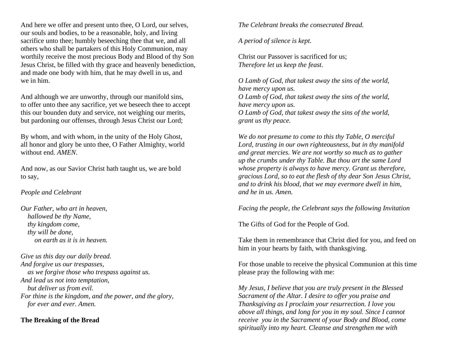And here we offer and present unto thee, O Lord, our selves, our souls and bodies, to be a reasonable, holy, and living sacrifice unto thee; humbly beseeching thee that we, and all others who shall be partakers of this Holy Communion, may worthily receive the most precious Body and Blood of thy Son Jesus Christ, be filled with thy grace and heavenly benediction, and made one body with him, that he may dwell in us, and we in him.

And although we are unworthy, through our manifold sins, to offer unto thee any sacrifice, yet we beseech thee to accept this our bounden duty and service, not weighing our merits, but pardoning our offenses, through Jesus Christ our Lord;

By whom, and with whom, in the unity of the Holy Ghost, all honor and glory be unto thee, O Father Almighty, world without end. *AMEN*.

And now, as our Savior Christ hath taught us, we are bold to say,

#### *People and Celebrant*

*Our Father, who art in heaven, hallowed be thy Name, thy kingdom come, thy will be done, on earth as it is in heaven.*

*Give us this day our daily bread. And forgive us our trespasses, as we forgive those who trespass against us. And lead us not into temptation, but deliver us from evil. For thine is the kingdom, and the power, and the glory, for ever and ever. Amen.*

#### **The Breaking of the Bread**

#### *The Celebrant breaks the consecrated Bread.*

*A period of silence is kept.*

Christ our Passover is sacrificed for us; *Therefore let us keep the feast.*

*O Lamb of God, that takest away the sins of the world, have mercy upon us. O Lamb of God, that takest away the sins of the world, have mercy upon us. O Lamb of God, that takest away the sins of the world, grant us thy peace.*

*We do not presume to come to this thy Table, O merciful Lord, trusting in our own righteousness, but in thy manifold and great mercies. We are not worthy so much as to gather up the crumbs under thy Table. But thou art the same Lord whose property is always to have mercy. Grant us therefore, gracious Lord, so to eat the flesh of thy dear Son Jesus Christ, and to drink his blood, that we may evermore dwell in him, and he in us. Amen.*

*Facing the people, the Celebrant says the following Invitation*

The Gifts of God for the People of God.

Take them in remembrance that Christ died for you, and feed on him in your hearts by faith, with thanksgiving.

For those unable to receive the physical Communion at this time please pray the following with me:

*My Jesus, I believe that you are truly present in the Blessed Sacrament of the Altar. I desire to offer you praise and Thanksgiving as I proclaim your resurrection. I love you above all things, and long for you in my soul. Since I cannot receive you in the Sacrament of your Body and Blood, come spiritually into my heart. Cleanse and strengthen me with*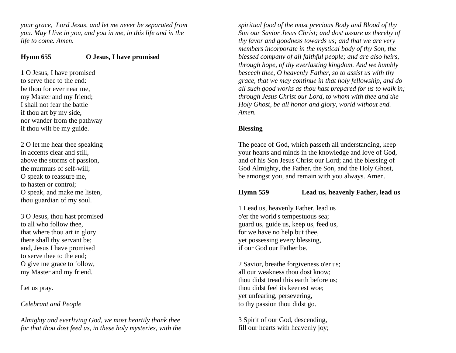*your grace, Lord Jesus, and let me never be separated from you. May I live in you, and you in me, in this life and in the life to come. Amen.*

#### **Hymn 655 O Jesus, I have promised**

1 O Jesus, I have promised to serve thee to the end: be thou for ever near me, my Master and my friend; I shall not fear the battle if thou art by my side, nor wander from the pathway if thou wilt be my guide.

2 O let me hear thee speaking in accents clear and still, above the storms of passion, the murmurs of self-will; O speak to reassure me, to hasten or control; O speak, and make me listen, thou guardian of my soul.

3 O Jesus, thou hast promised to all who follow thee, that where thou art in glory there shall thy servant be; and, Jesus I have promised to serve thee to the end; O give me grace to follow, my Master and my friend.

Let us pray.

#### *Celebrant and People*

*Almighty and everliving God, we most heartily thank thee for that thou dost feed us, in these holy mysteries, with the*

*spiritual food of the most precious Body and Blood of thy Son our Savior Jesus Christ; and dost assure us thereby of thy favor and goodness towards us; and that we are very members incorporate in the mystical body of thy Son, the blessed company of all faithful people; and are also heirs, through hope, of thy everlasting kingdom. And we humbly beseech thee, O heavenly Father, so to assist us with thy grace, that we may continue in that holy fellowship, and do all such good works as thou hast prepared for us to walk in; through Jesus Christ our Lord, to whom with thee and the Holy Ghost, be all honor and glory, world without end. Amen.*

#### **Blessing**

The peace of God, which passeth all understanding, keep your hearts and minds in the knowledge and love of God, and of his Son Jesus Christ our Lord; and the blessing of God Almighty, the Father, the Son, and the Holy Ghost, be amongst you, and remain with you always. Amen.

#### **Hymn 559 Lead us, heavenly Father, lead us**

1 Lead us, heavenly Father, lead us o'er the world's tempestuous sea; guard us, guide us, keep us, feed us, for we have no help but thee, yet possessing every blessing, if our God our Father be.

2 Savior, breathe forgiveness o'er us; all our weakness thou dost know; thou didst tread this earth before us; thou didst feel its keenest woe; yet unfearing, persevering, to thy passion thou didst go.

3 Spirit of our God, descending, fill our hearts with heavenly joy;